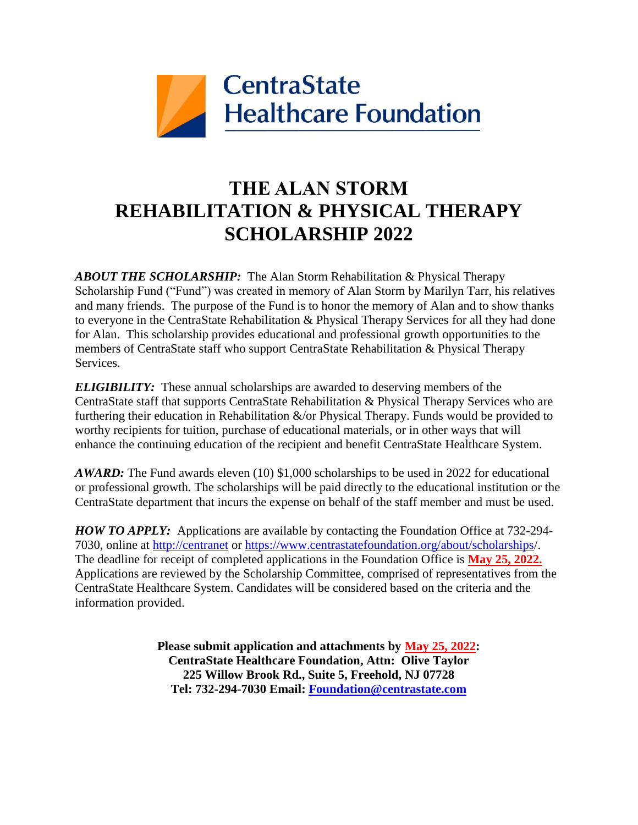

## **THE ALAN STORM REHABILITATION & PHYSICAL THERAPY SCHOLARSHIP 2022**

*ABOUT THE SCHOLARSHIP:* The Alan Storm Rehabilitation & Physical Therapy Scholarship Fund ("Fund") was created in memory of Alan Storm by Marilyn Tarr, his relatives and many friends. The purpose of the Fund is to honor the memory of Alan and to show thanks to everyone in the CentraState Rehabilitation & Physical Therapy Services for all they had done for Alan. This scholarship provides educational and professional growth opportunities to the members of CentraState staff who support CentraState Rehabilitation & Physical Therapy Services.

*ELIGIBILITY:* These annual scholarships are awarded to deserving members of the CentraState staff that supports CentraState Rehabilitation & Physical Therapy Services who are furthering their education in Rehabilitation  $\&$ /or Physical Therapy. Funds would be provided to worthy recipients for tuition, purchase of educational materials, or in other ways that will enhance the continuing education of the recipient and benefit CentraState Healthcare System.

*AWARD:* The Fund awards eleven (10) \$1,000 scholarships to be used in 2022 for educational or professional growth. The scholarships will be paid directly to the educational institution or the CentraState department that incurs the expense on behalf of the staff member and must be used.

*HOW TO APPLY:* Applications are available by contacting the Foundation Office at 732-294- 7030, online at [http://centranet](http://centranet/) or<https://www.centrastatefoundation.org/about/scholarships/>. The deadline for receipt of completed applications in the Foundation Office is **May 25, 2022.** Applications are reviewed by the Scholarship Committee, comprised of representatives from the CentraState Healthcare System. Candidates will be considered based on the criteria and the information provided.

> **Please submit application and attachments by May 25, 2022: CentraState Healthcare Foundation, Attn: Olive Taylor 225 Willow Brook Rd., Suite 5, Freehold, NJ 07728 Tel: 732-294-7030 Email: [Foundation@centrastate.com](mailto:Foundation@centrastate.com)**